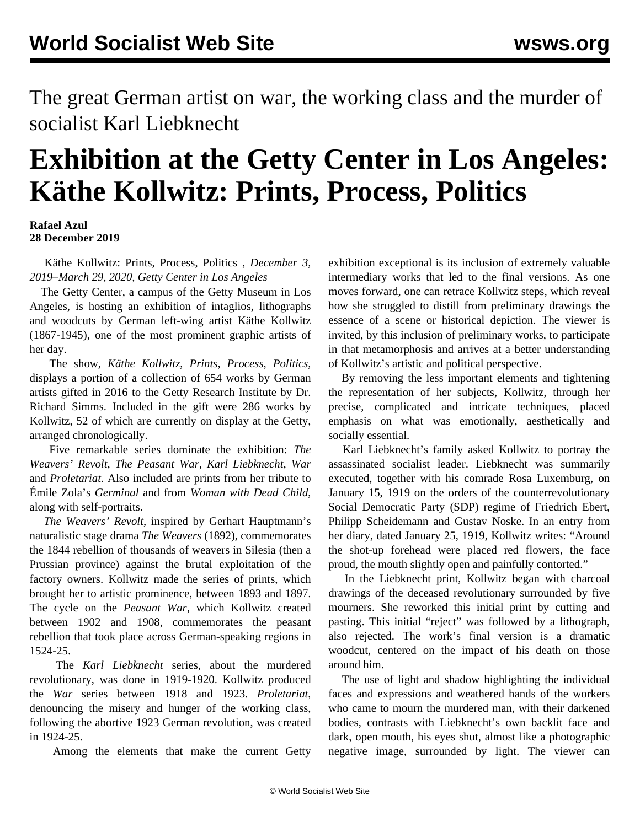The great German artist on war, the working class and the murder of socialist Karl Liebknecht

## **Exhibition at the Getty Center in Los Angeles: Käthe Kollwitz: Prints, Process, Politics**

## **Rafael Azul 28 December 2019**

 Käthe Kollwitz: Prints, Process, Politics *, December 3, 2019–March 29, 2020, Getty Center in Los Angeles*

 The Getty Center, a campus of the Getty Museum in Los Angeles, is hosting an exhibition of intaglios, lithographs and woodcuts by German left-wing artist Käthe Kollwitz (1867-1945), one of the most prominent graphic artists of her day.

 The show, *Käthe Kollwitz, Prints, Process, Politics,* displays a portion of a collection of 654 works by German artists gifted in 2016 to the Getty Research Institute by Dr. Richard Simms. Included in the gift were 286 works by Kollwitz, 52 of which are currently on display at the Getty, arranged chronologically.

 Five remarkable series dominate the exhibition: *The Weavers' Revolt*, *The Peasant War*, *Karl Liebknecht*, *War* and *Proletariat*. Also included are prints from her tribute to Émile Zola's *Germinal* and from *Woman with Dead Child*, along with self-portraits.

 *The Weavers' Revolt*, inspired by Gerhart Hauptmann's naturalistic stage drama *The Weavers* (1892), commemorates the 1844 rebellion of thousands of weavers in Silesia (then a Prussian province) against the brutal exploitation of the factory owners. Kollwitz made the series of prints, which brought her to artistic prominence, between 1893 and 1897. The cycle on the *Peasant War*, which Kollwitz created between 1902 and 1908, commemorates the peasant rebellion that took place across German-speaking regions in 1524-25.

 The *Karl Liebknecht* series, about the murdered revolutionary, was done in 1919-1920. Kollwitz produced the *War* series between 1918 and 1923. *Proletariat*, denouncing the misery and hunger of the working class, following the abortive 1923 German revolution, was created in 1924-25.

Among the elements that make the current Getty

exhibition exceptional is its inclusion of extremely valuable intermediary works that led to the final versions. As one moves forward, one can retrace Kollwitz steps, which reveal how she struggled to distill from preliminary drawings the essence of a scene or historical depiction. The viewer is invited, by this inclusion of preliminary works, to participate in that metamorphosis and arrives at a better understanding of Kollwitz's artistic and political perspective.

 By removing the less important elements and tightening the representation of her subjects, Kollwitz, through her precise, complicated and intricate techniques, placed emphasis on what was emotionally, aesthetically and socially essential.

 Karl Liebknecht's family asked Kollwitz to portray the assassinated socialist leader. Liebknecht was summarily executed, together with his comrade Rosa Luxemburg, on January 15, 1919 on the orders of the counterrevolutionary Social Democratic Party (SDP) regime of Friedrich Ebert, Philipp Scheidemann and Gustav Noske. In an entry from her diary, dated January 25, 1919, Kollwitz writes: "Around the shot-up forehead were placed red flowers, the face proud, the mouth slightly open and painfully contorted."

 In the Liebknecht print, Kollwitz began with charcoal drawings of the deceased revolutionary surrounded by five mourners. She reworked this initial print by cutting and pasting. This initial "reject" was followed by a lithograph, also rejected. The work's final version is a dramatic woodcut, centered on the impact of his death on those around him.

 The use of light and shadow highlighting the individual faces and expressions and weathered hands of the workers who came to mourn the murdered man, with their darkened bodies, contrasts with Liebknecht's own backlit face and dark, open mouth, his eyes shut, almost like a photographic negative image, surrounded by light. The viewer can